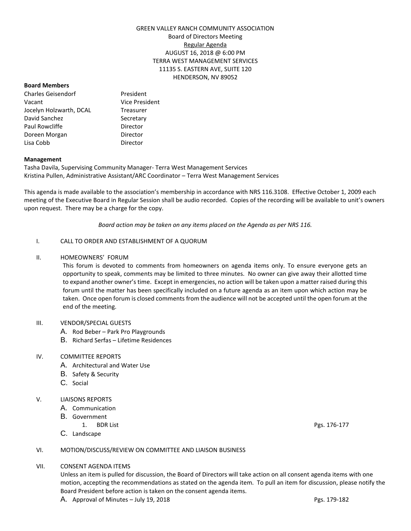# GREEN VALLEY RANCH COMMUNITY ASSOCIATION Board of Directors Meeting Regular Agenda AUGUST 16, 2018 @ 6:00 PM TERRA WEST MANAGEMENT SERVICES 11135 S. EASTERN AVE, SUITE 120 HENDERSON, NV 89052

#### **Board Members**

Charles Geisendorf President Vacant Vice President Jocelyn Holzwarth, DCAL Treasurer David Sanchez Secretary Paul Rowcliffe **Director** Doreen Morgan **Director** Lisa Cobb Director

## **Management**

Tasha Davila, Supervising Community Manager- Terra West Management Services Kristina Pullen, Administrative Assistant/ARC Coordinator – Terra West Management Services

This agenda is made available to the association's membership in accordance with NRS 116.3108. Effective October 1, 2009 each meeting of the Executive Board in Regular Session shall be audio recorded. Copies of the recording will be available to unit's owners upon request. There may be a charge for the copy.

*Board action may be taken on any items placed on the Agenda as per NRS 116.*

## I. CALL TO ORDER AND ESTABLISHMENT OF A QUORUM

## II. HOMEOWNERS' FORUM

This forum is devoted to comments from homeowners on agenda items only. To ensure everyone gets an opportunity to speak, comments may be limited to three minutes. No owner can give away their allotted time to expand another owner's time. Except in emergencies, no action will be taken upon a matter raised during this forum until the matter has been specifically included on a future agenda as an item upon which action may be taken. Once open forum is closed comments from the audience will not be accepted until the open forum at the end of the meeting.

#### III. VENDOR/SPECIAL GUESTS

- A. Rod Beber Park Pro Playgrounds
- B. Richard Serfas Lifetime Residences

# IV. COMMITTEE REPORTS

- A. Architectural and Water Use
- B. Safety & Security
- C. Social
- V. LIAISONS REPORTS
	- A. Communication
	- B. Government
		- 1. BDR List Pgs. 176-177
	- C. Landscape

# VI. MOTION/DISCUSS/REVIEW ON COMMITTEE AND LIAISON BUSINESS

#### VII. CONSENT AGENDA ITEMS

Unless an item is pulled for discussion, the Board of Directors will take action on all consent agenda items with one motion, accepting the recommendations as stated on the agenda item. To pull an item for discussion, please notify the Board President before action is taken on the consent agenda items.

A. Approval of Minutes – July 19, 2018  $\overline{P}$  Pgs. 179-182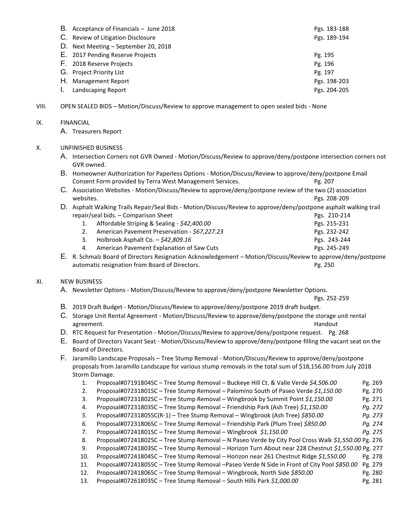| B. Acceptance of Financials - June 2018 | Pgs. 183-188 |
|-----------------------------------------|--------------|
| C. Review of Litigation Disclosure      | Pgs. 189-194 |
| Next Meeting - September 20, 2018<br>D. |              |
| E. 2017 Pending Reserve Projects        | Pg. 195      |
| F. 2018 Reserve Projects                | Pg. 196      |
| G. Project Priority List                | Pg. 197      |
| Н.<br><b>Management Report</b>          | Pgs. 198-203 |
| Landscaping Report                      | Pgs. 204-205 |

VIII. OPEN SEALED BIDS – Motion/Discuss/Review to approve management to open sealed bids - None

## IX. FINANCIAL

A. Treasurers Report

# X. UNFINISHED BUSINESS

- A. Intersection Corners not GVR Owned Motion/Discuss/Review to approve/deny/postpone intersection corners not GVR owned.
- B. Homeowner Authorization for Paperless Options Motion/Discuss/Review to approve/deny/postpone Email Consent Form provided by Terra West Management Services. The result of the Pg. 207
- C. Association Websites Motion/Discuss/Review to approve/deny/postpone review of the two (2) association websites. Pgs. 208-209
- D. Asphalt Walking Trails Repair/Seal Bids Motion/Discuss/Review to approve/deny/postpone asphalt walking trail repair/seal bids. – Comparison Sheet Pgs. 210-214
	- 1. Affordable Striping & Sealing *\$42,400.00* Pgs. 215-231 2. American Pavement Preservation - *\$67,227.23* Pgs. 232-242 3. Holbrook Asphalt Co. – *\$42,809.16* Pgs. 243-244
		- 4. American Pavement Explanation of Saw Cuts Pgs. 245-249
- E. R. Schmalz Board of Directors Resignation Acknowledgement Motion/Discuss/Review to approve/deny/postpone automatic resignation from Board of Directors. The extension of Pg. 250

# XI. NEW BUSINESS

A. Newsletter Options - Motion/Discuss/Review to approve/deny/postpone Newsletter Options.

Pgs. 252-259

- B. 2019 Draft Budget Motion/Discuss/Review to approve/deny/postpone 2019 draft budget.
- C. Storage Unit Rental Agreement Motion/Discuss/Review to approve/deny/postpone the storage unit rental agreement. Handout and the second series of the series of the series of the series of the series of the series
- D. RTC Request for Presentation Motion/Discuss/Review to approve/deny/postpone request. Pg. 268
- E. Board of Directors Vacant Seat Motion/Discuss/Review to approve/deny/postpone filling the vacant seat on the Board of Directors.
- F. Jaramillo Landscape Proposals Tree Stump Removal Motion/Discuss/Review to approve/deny/postpone proposals from Jaramillo Landscape for various stump removals in the total sum of \$18,156.00 from July 2018 Storm Damage.
	- 1. Proposal#07191804SC Tree Stump Removal Buckeye Hill Ct. & Valle Verde *\$4,506.00* Pg. 269 2. Proposal#07231801SC – Tree Stump Removal – Palomino South of Paseo Verde *\$1,150.00* Pg. 270 3. Proposal#07231802SC – Tree Stump Removal – Wingbrook by Summit Point *\$1,150.00* Pg. 271 4. Proposal#07231803SC – Tree Stump Removal – Friendship Park (Ash Tree) *\$1,150.00 Pg. 272 5.* Proposal#07231805SC(R-1) – Tree Stump Removal – Wingbrook (Ash Tree) *\$850.00 Pg. 273 6.* Proposal#07231806SC – Tree Stump Removal – Friendship Park (Plum Tree) *\$850.00 Pg. 274* 7. Proposal#07241801SC – Tree Stump Removal – Wingbrook *\$1,150.00 Pg. 275* 8. Proposal#07241802SC – Tree Stump Removal – N Paseo Verde by City Pool Cross Walk *\$1,550.00* Pg. 276 9. Proposal#07241803SC – Tree Stump Removal – Horizon Turn About near 228 Chestnut *\$1,550.00* Pg. 277 10. Proposal#07241804SC – Tree Stump Removal – Horizon near 261 Chestnut Ridge *\$1,550.00* Pg. 278 11. Proposal#07241805SC – Tree Stump Removal –Paseo Verde N Side in Front of City Pool *\$850.00* Pg. 279 12. Proposal#07241806SC – Tree Stump Removal – Wingbrook, North Side *\$850.00* Pg. 280 13. Proposal#07261803SC – Tree Stump Removal – South Hills Park *\$1,000.00* Pg. 281